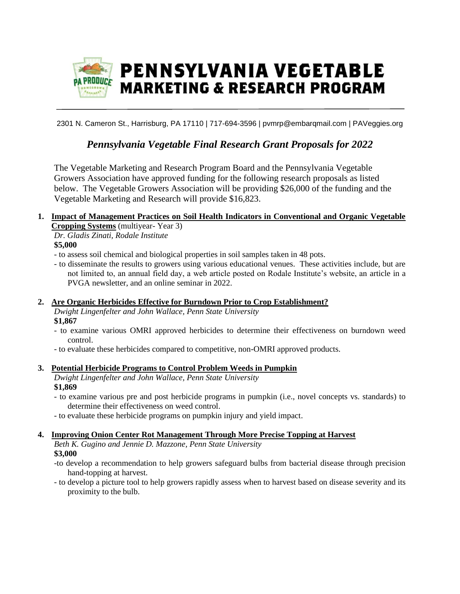

2301 N. Cameron St., Harrisburg, PA 17110 | 717-694-3596 | pvmrp@embarqmail.com | PAVeggies.org

# *Pennsylvania Vegetable Final Research Grant Proposals for 2022*

The Vegetable Marketing and Research Program Board and the Pennsylvania Vegetable Growers Association have approved funding for the following research proposals as listed below. The Vegetable Growers Association will be providing \$26,000 of the funding and the Vegetable Marketing and Research will provide \$16,823.

# **1. Impact of Management Practices on Soil Health Indicators in Conventional and Organic Vegetable Cropping Systems** (multiyear- Year 3)

*Dr. Gladis Zinati, Rodale Institute*  **\$5,000**

- to assess soil chemical and biological properties in soil samples taken in 48 pots.
- to disseminate the results to growers using various educational venues. These activities include, but are not limited to, an annual field day, a web article posted on Rodale Institute's website, an article in a PVGA newsletter, and an online seminar in 2022.

### **2. Are Organic Herbicides Effective for Burndown Prior to Crop Establishment?**

*Dwight Lingenfelter and John Wallace, Penn State University* **\$1,867**

- to examine various OMRI approved herbicides to determine their effectiveness on burndown weed control.
- to evaluate these herbicides compared to competitive, non-OMRI approved products.

## **3. Potential Herbicide Programs to Control Problem Weeds in Pumpkin**

*Dwight Lingenfelter and John Wallace, Penn State University* **\$1,869**

- to examine various pre and post herbicide programs in pumpkin (i.e., novel concepts vs. standards) to determine their effectiveness on weed control.
- to evaluate these herbicide programs on pumpkin injury and yield impact.

## **4. Improving Onion Center Rot Management Through More Precise Topping at Harvest**

*Beth K. Gugino and Jennie D. Mazzone, Penn State University* **\$3,000**

- -to develop a recommendation to help growers safeguard bulbs from bacterial disease through precision hand-topping at harvest.
- to develop a picture tool to help growers rapidly assess when to harvest based on disease severity and its proximity to the bulb.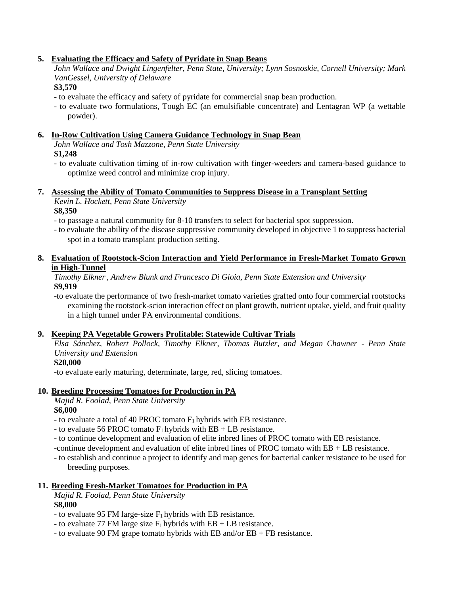### **5. Evaluating the Efficacy and Safety of Pyridate in Snap Beans**

*John Wallace and Dwight Lingenfelter, Penn State, University; Lynn Sosnoskie, Cornell University; Mark VanGessel, University of Delaware*

**\$3,570**

- to evaluate the efficacy and safety of pyridate for commercial snap bean production.

- to evaluate two formulations, Tough EC (an emulsifiable concentrate) and Lentagran WP (a wettable powder).

# **6. In-Row Cultivation Using Camera Guidance Technology in Snap Bean**

*John Wallace and Tosh Mazzone, Penn State University*

## **\$1,248**

- to evaluate cultivation timing of in-row cultivation with finger-weeders and camera-based guidance to optimize weed control and minimize crop injury.

# **7. Assessing the Ability of Tomato Communities to Suppress Disease in a Transplant Setting** *Kevin L. Hockett, Penn State University*

### **\$8,350**

- to passage a natural community for 8-10 transfers to select for bacterial spot suppression.

- to evaluate the ability of the disease suppressive community developed in objective 1 to suppress bacterial spot in a tomato transplant production setting.

## **8. Evaluation of Rootstock-Scion Interaction and Yield Performance in Fresh-Market Tomato Grown in High-Tunnel**

### *Timothy Elkner, , Andrew Blunk and Francesco Di Gioia, Penn State Extension and University* **\$9,919**

-to evaluate the performance of two fresh-market tomato varieties grafted onto four commercial rootstocks examining the rootstock-scion interaction effect on plant growth, nutrient uptake, yield, and fruit quality in a high tunnel under PA environmental conditions.

## **9. Keeping PA Vegetable Growers Profitable: Statewide Cultivar Trials**

*Elsa Sánchez, Robert Pollock, Timothy Elkner, Thomas Butzler, and Megan Chawner - Penn State University and Extension*

### **\$20,000**

-to evaluate early maturing, determinate, large, red, slicing tomatoes.

## **10. Breeding Processing Tomatoes for Production in PA**

*Majid R. Foolad, Penn State University* **\$6,000**

- to evaluate a total of 40 PROC tomato  $F_1$  hybrids with EB resistance.
- to evaluate 56 PROC tomato  $F_1$  hybrids with  $EB + LB$  resistance.
- to continue development and evaluation of elite inbred lines of PROC tomato with EB resistance.

-continue development and evaluation of elite inbred lines of PROC tomato with EB + LB resistance.

- to establish and continue a project to identify and map genes for bacterial canker resistance to be used for breeding purposes.

## **11. Breeding Fresh-Market Tomatoes for Production in PA**

*Majid R. Foolad, Penn State University* **\$8,000**

- to evaluate 95 FM large-size  $F_1$  hybrids with EB resistance.

- to evaluate 77 FM large size  $F_1$  hybrids with EB + LB resistance.
- to evaluate 90 FM grape tomato hybrids with EB and/or EB + FB resistance.